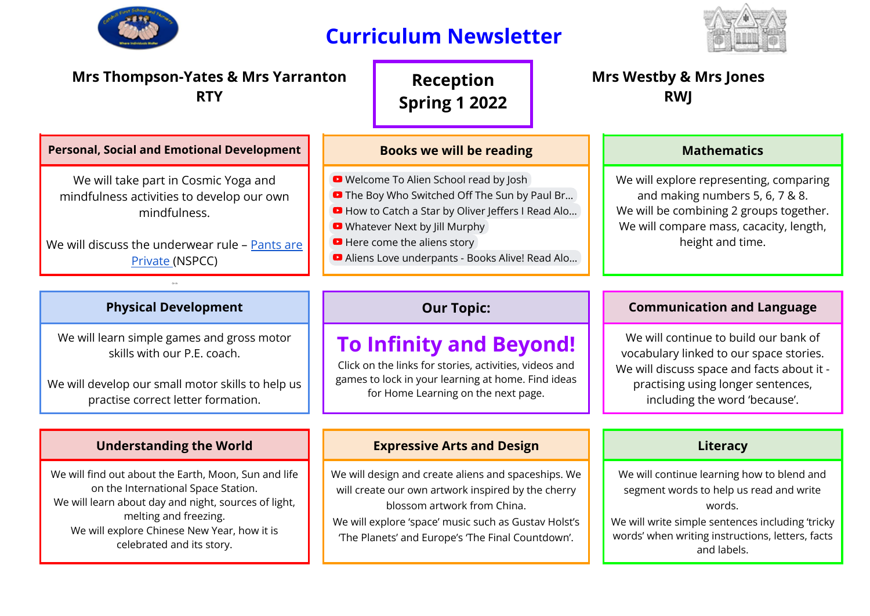

## **Curriculum Newsletter**



| <b>Mrs Thompson-Yates &amp; Mrs Yarranton</b><br><b>RTY</b>                                                                                                            |                                 | <b>Reception</b><br><b>Spring 1 2022</b>                                                                                                                                                                                                                                        |  | <b>Mrs Westby &amp; Mrs Jones</b><br><b>RWI</b> |                                                                                                                                                                                      |
|------------------------------------------------------------------------------------------------------------------------------------------------------------------------|---------------------------------|---------------------------------------------------------------------------------------------------------------------------------------------------------------------------------------------------------------------------------------------------------------------------------|--|-------------------------------------------------|--------------------------------------------------------------------------------------------------------------------------------------------------------------------------------------|
| <b>Personal, Social and Emotional Development</b>                                                                                                                      | <b>Books we will be reading</b> |                                                                                                                                                                                                                                                                                 |  |                                                 | <b>Mathematics</b>                                                                                                                                                                   |
| We will take part in Cosmic Yoga and<br>mindfulness activities to develop our own<br>mindfulness.<br>We will discuss the underwear rule - Pants are<br>Private (NSPCC) |                                 | • Welcome To Alien School read by Josh<br><b>D</b> The Boy Who Switched Off The Sun by Paul Br<br>D How to Catch a Star by Oliver Jeffers I Read Alo<br>• Whatever Next by Jill Murphy<br><b>D</b> Here come the aliens story<br>Aliens Love underpants - Books Alive! Read Alo |  |                                                 | We will explore representing, comparing<br>and making numbers 5, 6, 7 & 8.<br>We will be combining 2 groups together.<br>We will compare mass, cacacity, length,<br>height and time. |

Or th

We will learn simple games and gross motor skills with our P.E. coach.

We will develop our small motor skills to help us practise correct letter formation.

We will find out about the Earth, Moon, Sun and life on the International Space Station. We will learn about day and night, sources of light, melting and freezing. We will explore Chinese New Year, how it is celebrated and its story.

## **To Infinity and Beyond!**

Click on the links for stories, activities, videos and games to lock in your learning at home. Find ideas for Home Learning on the next page.

### **Understanding the World Expressive Arts and Design Literacy**

We will design and create aliens and spaceships. We will create our own artwork inspired by the cherry blossom artwork from China. We will explore 'space' music such as Gustav Holst's 'The Planets' and Europe's 'The Final Countdown'.

## **Physical Development Our Topic: Communication and Language**

We will continue to build our bank of vocabulary linked to our space stories. We will discuss space and facts about it practising using longer sentences, including the word 'because'.

We will continue learning how to blend and segment words to help us read and write words.

We will write simple sentences including 'tricky words' when writing instructions, letters, facts and labels.